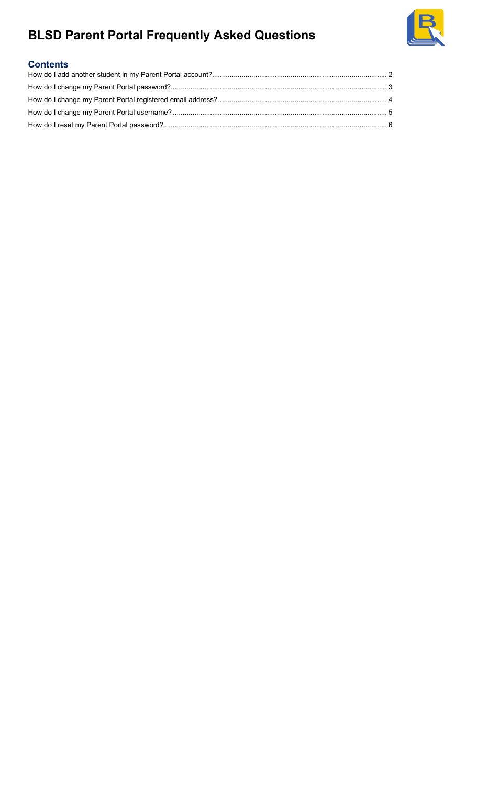

### **Contents**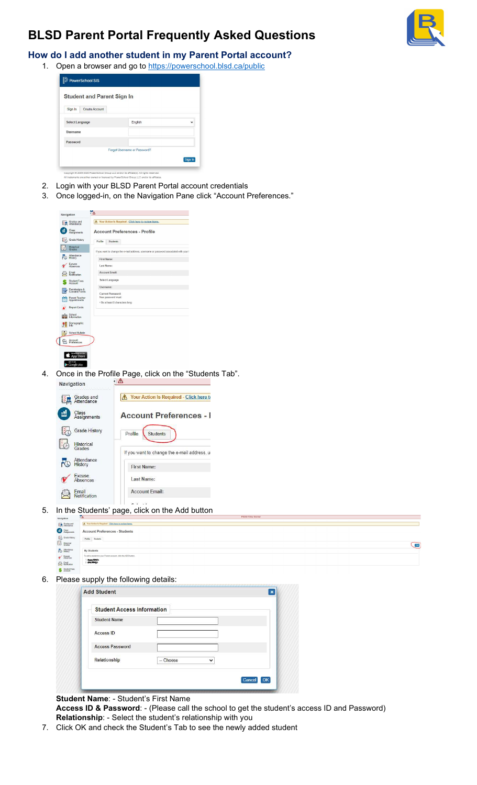

### How do I add another student in my Parent Portal account?

1. Open a browser and go to https://powerschool.blsd.ca/public

| English |                              |
|---------|------------------------------|
|         |                              |
|         |                              |
|         |                              |
|         | Forgot Username or Password? |

- 2. Login with your BLSD Parent Portal account credentials
- 3. Once logged-in, on the Navigation Pane click "Account Preferences."





5. In the Students' page, click on the Add button

| Navigation                                                              | $\mathbb{R}^n$                                                 | PS20.4 Dev Server |
|-------------------------------------------------------------------------|----------------------------------------------------------------|-------------------|
|                                                                         | A Your Action Is Required - Click here to review items.        |                   |
| <b>Excelses</b> and<br><i>Stendance</i><br><i>Class</i><br><i>Class</i> | <b>Account Preferences - Students</b>                          |                   |
| Grade History<br>Exploration                                            | Profile Students                                               |                   |
|                                                                         |                                                                | Add               |
| Attendance                                                              | My Students                                                    |                   |
| $\n1$ Absences                                                          | To add a student to your Parent account, click the ADD button. |                   |
| Email<br>Notification                                                   | <b>Burguilleum</b><br>Biographique                             |                   |
| Student Fees                                                            |                                                                |                   |

6. Please supply the following details:

| <b>Student Access Information</b> |                           |  |
|-----------------------------------|---------------------------|--|
| <b>Student Name</b>               |                           |  |
| <b>Access ID</b>                  |                           |  |
| <b>Access Password</b>            |                           |  |
| Relationship                      | -- Choose<br>$\checkmark$ |  |

#### Student Name: - Student's First Name

Access ID & Password: - (Please call the school to get the student's access ID and Password) Relationship: - Select the student's relationship with you

7. Click OK and check the Student's Tab to see the newly added student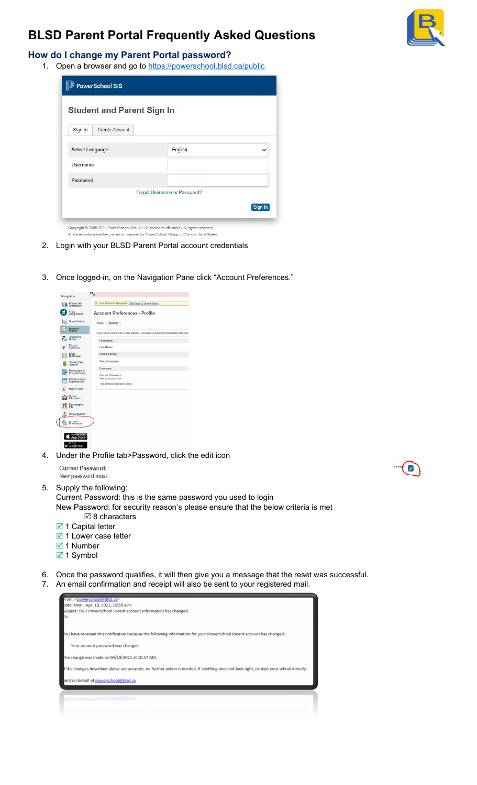

### How do I change my Parent Portal password?

1. Open a browser and go to https://powerschool.blsd.ca/public

|                 | PowerSchool SIS<br><b>Student and Parent Sign In</b> |                                                                                           |             |
|-----------------|------------------------------------------------------|-------------------------------------------------------------------------------------------|-------------|
| Sign In         | Create Account                                       |                                                                                           |             |
| Select Language |                                                      | English                                                                                   | $\check{ }$ |
| <b>Username</b> |                                                      |                                                                                           |             |
| Password        |                                                      |                                                                                           |             |
|                 |                                                      | Forgot Username or Password?                                                              |             |
|                 |                                                      |                                                                                           | Sign In     |
|                 |                                                      | Copyright @ 2005-2020 PowerSchool Group LLC and/or its affiliate(s). All rights reserved. |             |

All trademarks are either owned or licensed by PowerSchool Group LLC and/or its affiliates.

- 2. Login with your BLSD Parent Portal account credentials
- 3. Once logged-in, on the Navigation Pane click "Account Preferences."



4. Under the Profile tab>Password, click the edit icon

#### **Current Password:** New password must

- 5. Supply the following:
	- Current Password: this is the same password you used to login New Password: for security reason's please ensure that the below criteria is met  $\boxtimes$  8 characters
	- **Ø** 1 Capital letter
	- **Ø** 1 Lower case letter
	- **⊠** 1 Number
	- 1 Symbol
- 6. Once the password qualifies, it will then give you a message that the reset was successful. 7. An email confirmation and receipt will also be sent to your registered mail.

| from: <powerschool@blsd.ca></powerschool@blsd.ca>                                                                                       |
|-----------------------------------------------------------------------------------------------------------------------------------------|
| Date: Mon., Apr. 19, 2021, 10:58 a.m.                                                                                                   |
| subject: Your PowerSchool Parent account information has changed.                                                                       |
| Гo:                                                                                                                                     |
|                                                                                                                                         |
|                                                                                                                                         |
| ou have received this notification because the following information for your PowerSchool Parent account has changed:                   |
|                                                                                                                                         |
| Your account password was changed                                                                                                       |
|                                                                                                                                         |
| The change was made on 04/19/2021 at 10:57 AM.                                                                                          |
|                                                                                                                                         |
| f the changes described above are accurate, no further action is needed. If anything does not look right, contact your school directly. |
|                                                                                                                                         |
| sent on behalf of powerschool@blsd.ca                                                                                                   |
|                                                                                                                                         |
|                                                                                                                                         |
| ent on behalf of powerschool potsd.ca                                                                                                   |
|                                                                                                                                         |
|                                                                                                                                         |

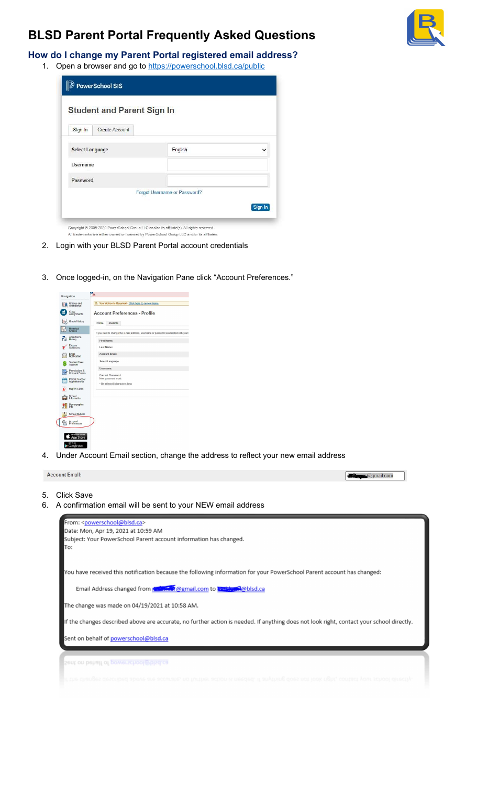

How do I change my Parent Portal registered email address?

1. Open a browser and go to https://powerschool.blsd.ca/public

| <b><i><u>D</u></i></b> PowerSchool SIS<br><b>Student and Parent Sign In</b> |                       |                                                                                           |              |
|-----------------------------------------------------------------------------|-----------------------|-------------------------------------------------------------------------------------------|--------------|
| Sign In                                                                     | <b>Create Account</b> |                                                                                           |              |
| <b>Select Language</b>                                                      |                       | English                                                                                   | $\checkmark$ |
| <b>Username</b>                                                             |                       |                                                                                           |              |
| Password                                                                    |                       |                                                                                           |              |
|                                                                             |                       | Forgot Username or Password?                                                              |              |
|                                                                             |                       |                                                                                           | Sign In      |
|                                                                             |                       | Copyright @ 2005-2020 PowerSchool Group LLC and/or its affiliate(s). All rights reserved. |              |

All trademarks are either owned or licensed by PowerSchool Group LLC and/or its affiliates.

- 2. Login with your BLSD Parent Portal account credentials
- 3. Once logged-in, on the Navigation Pane click "Account Preferences."



4. Under Account Email section, change the address to reflect your new email address

| To:<br>You have received this notification because the following information for your PowerSchool Parent account has changed:<br>Email Address changed from <b>All Action</b> @gmail.com to <b>External @blsd.ca</b><br>The change was made on 04/19/2021 at 10:58 AM.<br>If the changes described above are accurate, no further action is needed. If anything does not look right, contact your school directly.<br>Sent on behalf of powerschool@blsd.ca | Subject: Your PowerSchool Parent account information has changed. |  |  |
|-------------------------------------------------------------------------------------------------------------------------------------------------------------------------------------------------------------------------------------------------------------------------------------------------------------------------------------------------------------------------------------------------------------------------------------------------------------|-------------------------------------------------------------------|--|--|
|                                                                                                                                                                                                                                                                                                                                                                                                                                                             |                                                                   |  |  |
|                                                                                                                                                                                                                                                                                                                                                                                                                                                             |                                                                   |  |  |
|                                                                                                                                                                                                                                                                                                                                                                                                                                                             |                                                                   |  |  |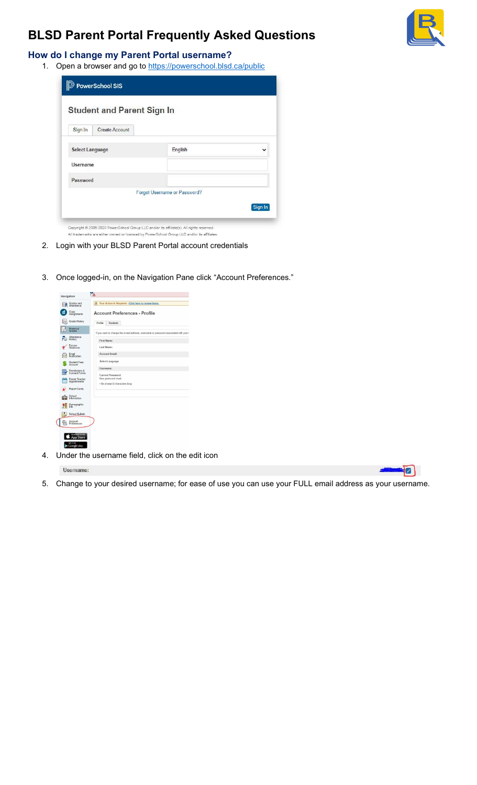

 $\Box$ 

### How do I change my Parent Portal username?

1. Open a browser and go to https://powerschool.blsd.ca/public

|                 | PowerSchool SIS<br><b>Student and Parent Sign In</b> |                                                                                           |             |
|-----------------|------------------------------------------------------|-------------------------------------------------------------------------------------------|-------------|
| Sign In         | <b>Create Account</b>                                |                                                                                           |             |
| Select Language |                                                      | English                                                                                   | $\check{ }$ |
| <b>Username</b> |                                                      |                                                                                           |             |
| Password        |                                                      |                                                                                           |             |
|                 |                                                      | Forgot Username or Password?                                                              |             |
|                 |                                                      |                                                                                           | Sign In     |
|                 |                                                      | Copyright @ 2005-2020 PowerSchool Group LLC and/or its affiliate(s). All rights reserved. |             |

All trademarks are either owned or licensed by PowerSchool Group LLC and/or its affiliates.

- 2. Login with your BLSD Parent Portal account credentials
- 3. Once logged-in, on the Navigation Pane click "Account Preferences."



4. Under the username field, click on the edit icon

Username:

5. Change to your desired username; for ease of use you can use your FULL email address as your username.